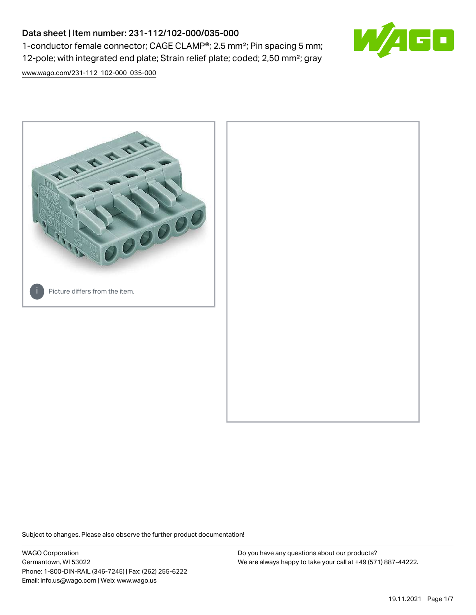# Data sheet | Item number: 231-112/102-000/035-000 1-conductor female connector; CAGE CLAMP®; 2.5 mm²; Pin spacing 5 mm; 12-pole; with integrated end plate; Strain relief plate; coded; 2,50 mm²; gray



[www.wago.com/231-112\\_102-000\\_035-000](http://www.wago.com/231-112_102-000_035-000)



Subject to changes. Please also observe the further product documentation!

WAGO Corporation Germantown, WI 53022 Phone: 1-800-DIN-RAIL (346-7245) | Fax: (262) 255-6222 Email: info.us@wago.com | Web: www.wago.us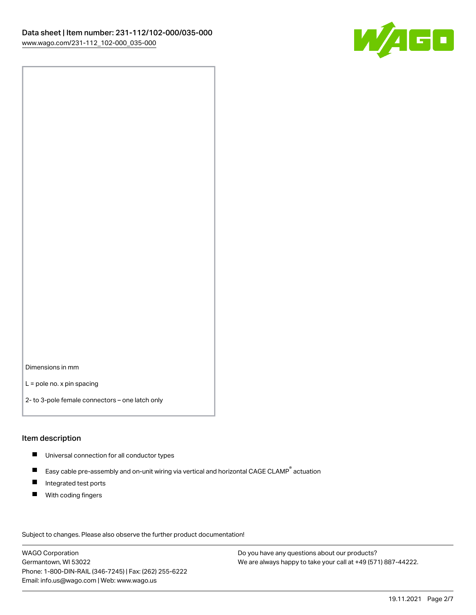

Dimensions in mm

L = pole no. x pin spacing

2- to 3-pole female connectors – one latch only

## Item description

- **Universal connection for all conductor types**
- Easy cable pre-assembly and on-unit wiring via vertical and horizontal CAGE CLAMP<sup>®</sup> actuation  $\blacksquare$
- $\blacksquare$ Integrated test ports
- $\blacksquare$ With coding fingers

Subject to changes. Please also observe the further product documentation! Data

WAGO Corporation Germantown, WI 53022 Phone: 1-800-DIN-RAIL (346-7245) | Fax: (262) 255-6222 Email: info.us@wago.com | Web: www.wago.us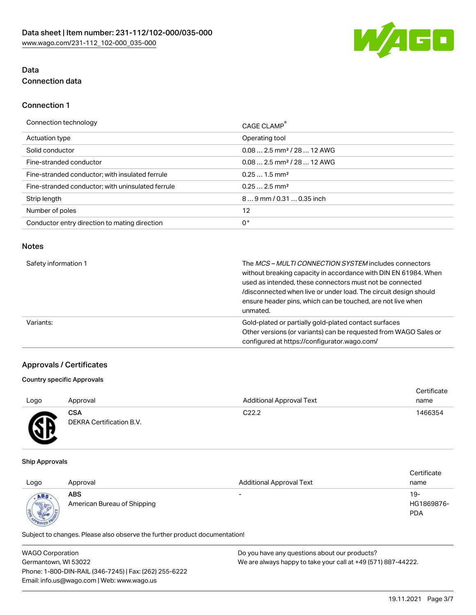

# Data Connection data

## Connection 1

| Connection technology                             | CAGE CLAMP <sup>®</sup>                |
|---------------------------------------------------|----------------------------------------|
| Actuation type                                    | Operating tool                         |
| Solid conductor                                   | $0.082.5$ mm <sup>2</sup> / 28  12 AWG |
| Fine-stranded conductor                           | $0.082.5$ mm <sup>2</sup> / 28  12 AWG |
| Fine-stranded conductor; with insulated ferrule   | $0.251.5$ mm <sup>2</sup>              |
| Fine-stranded conductor; with uninsulated ferrule | $0.252.5$ mm <sup>2</sup>              |
| Strip length                                      | 89 mm / 0.31  0.35 inch                |
| Number of poles                                   | 12                                     |
| Conductor entry direction to mating direction     | 0°                                     |
|                                                   |                                        |

#### Notes

| Safety information 1 | The <i>MCS – MULTI CONNECTION SYSTEM</i> includes connectors<br>without breaking capacity in accordance with DIN EN 61984. When<br>used as intended, these connectors must not be connected<br>/disconnected when live or under load. The circuit design should<br>ensure header pins, which can be touched, are not live when<br>unmated. |
|----------------------|--------------------------------------------------------------------------------------------------------------------------------------------------------------------------------------------------------------------------------------------------------------------------------------------------------------------------------------------|
| Variants:            | Gold-plated or partially gold-plated contact surfaces<br>Other versions (or variants) can be requested from WAGO Sales or<br>configured at https://configurator.wago.com/                                                                                                                                                                  |

# Approvals / Certificates

## Country specific Approvals

|      |                                        |                                 | Certificate |
|------|----------------------------------------|---------------------------------|-------------|
| Logo | Approval                               | <b>Additional Approval Text</b> | name        |
| Æ    | <b>CSA</b><br>DEKRA Certification B.V. | C <sub>22.2</sub>               | 1466354     |

#### Ship Approvals

|                     |                             |                                 | Certificate |
|---------------------|-----------------------------|---------------------------------|-------------|
| Logo                | Approval                    | <b>Additional Approval Text</b> | name        |
| ABS                 | <b>ABS</b>                  | $\overline{\phantom{0}}$        | 19-         |
| <b>SECOND LEADS</b> | American Bureau of Shipping |                                 | HG1869876-  |
|                     |                             |                                 | <b>PDA</b>  |
|                     |                             |                                 |             |

Subject to changes. Please also observe the further product documentation!

| <b>WAGO Corporation</b>                                | Do you have any questions about our products?                 |  |
|--------------------------------------------------------|---------------------------------------------------------------|--|
| Germantown, WI 53022                                   | We are always happy to take your call at +49 (571) 887-44222. |  |
| Phone: 1-800-DIN-RAIL (346-7245)   Fax: (262) 255-6222 |                                                               |  |
| Email: info.us@wago.com   Web: www.wago.us             |                                                               |  |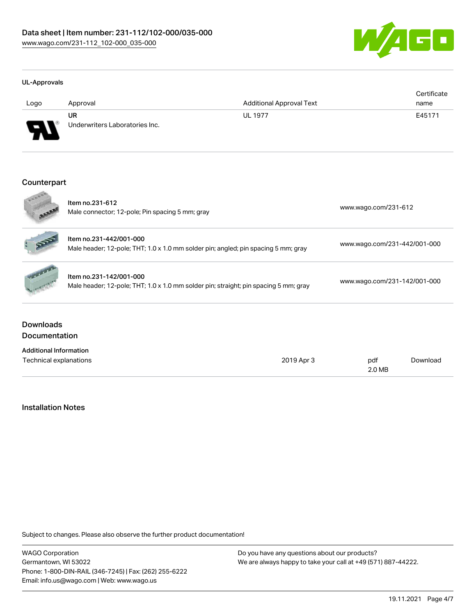

#### UL-Approvals

| Logo     | Approval                             | <b>Additional Approval Text</b> | Certificate<br>name |
|----------|--------------------------------------|---------------------------------|---------------------|
| J<br>. . | UR<br>Underwriters Laboratories Inc. | <b>UL 1977</b>                  | E45171              |

#### Counterpart

|                                          | Item no.231-612<br>Male connector; 12-pole; Pin spacing 5 mm; gray                                              | www.wago.com/231-612 |                              |          |
|------------------------------------------|-----------------------------------------------------------------------------------------------------------------|----------------------|------------------------------|----------|
|                                          | Item no.231-442/001-000<br>Male header; 12-pole; THT; 1.0 x 1.0 mm solder pin; angled; pin spacing 5 mm; gray   |                      | www.wago.com/231-442/001-000 |          |
|                                          | Item no.231-142/001-000<br>Male header; 12-pole; THT; 1.0 x 1.0 mm solder pin; straight; pin spacing 5 mm; gray |                      | www.wago.com/231-142/001-000 |          |
| <b>Downloads</b><br><b>Documentation</b> |                                                                                                                 |                      |                              |          |
| <b>Additional Information</b>            |                                                                                                                 |                      |                              |          |
| Technical explanations                   |                                                                                                                 | 2019 Apr 3           | pdf<br>2.0 MB                | Download |

# Installation Notes

Subject to changes. Please also observe the further product documentation!

WAGO Corporation Germantown, WI 53022 Phone: 1-800-DIN-RAIL (346-7245) | Fax: (262) 255-6222 Email: info.us@wago.com | Web: www.wago.us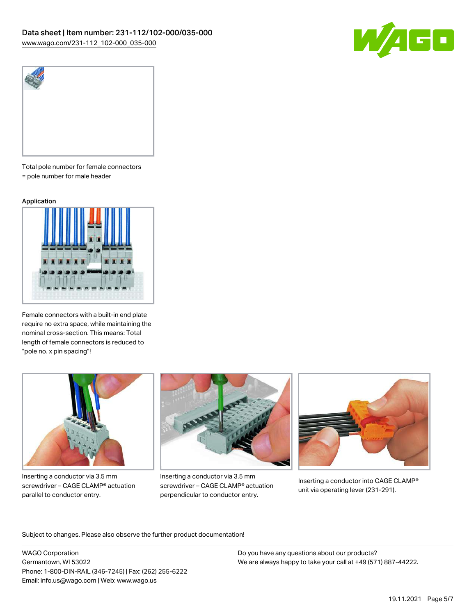



Total pole number for female connectors = pole number for male header

#### Application



Female connectors with a built-in end plate require no extra space, while maintaining the nominal cross-section. This means: Total length of female connectors is reduced to "pole no. x pin spacing"!



Inserting a conductor via 3.5 mm screwdriver – CAGE CLAMP® actuation parallel to conductor entry.



Inserting a conductor via 3.5 mm screwdriver – CAGE CLAMP® actuation perpendicular to conductor entry.



Inserting a conductor into CAGE CLAMP® unit via operating lever (231-291).

Subject to changes. Please also observe the further product documentation!

WAGO Corporation Germantown, WI 53022 Phone: 1-800-DIN-RAIL (346-7245) | Fax: (262) 255-6222 Email: info.us@wago.com | Web: www.wago.us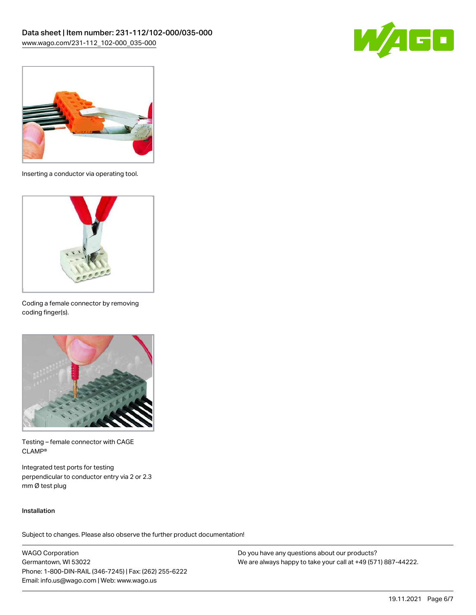



Inserting a conductor via operating tool.



Coding a female connector by removing coding finger(s).



Testing – female connector with CAGE CLAMP®

Integrated test ports for testing perpendicular to conductor entry via 2 or 2.3 mm Ø test plug

#### Installation

Subject to changes. Please also observe the further product documentation!

WAGO Corporation Germantown, WI 53022 Phone: 1-800-DIN-RAIL (346-7245) | Fax: (262) 255-6222 Email: info.us@wago.com | Web: www.wago.us